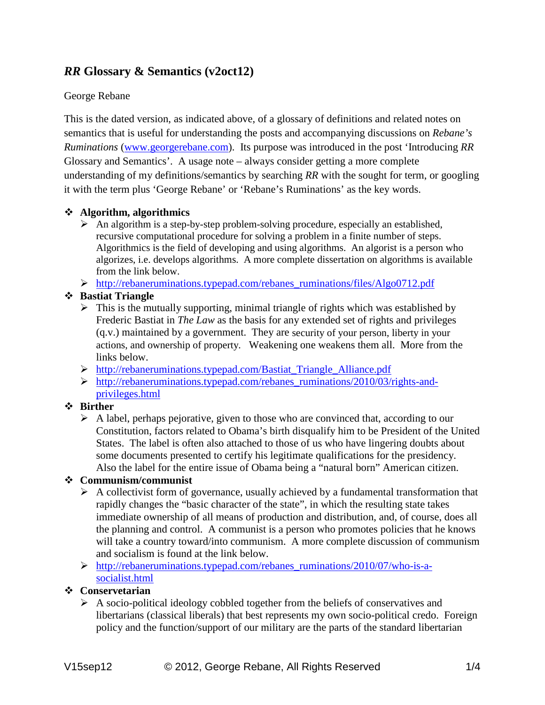# *RR* **Glossary & Semantics (v2oct12)**

### George Rebane

This is the dated version, as indicated above, of a glossary of definitions and related notes on semantics that is useful for understanding the posts and accompanying discussions on *Rebane's Ruminations* [\(www.georgerebane.com\)](http://www.georgerebane.com/). Its purpose was introduced in the post 'Introducing *RR* Glossary and Semantics'. A usage note – always consider getting a more complete understanding of my definitions/semantics by searching *RR* with the sought for term, or googling it with the term plus 'George Rebane' or 'Rebane's Ruminations' as the key words.

### **Algorithm, algorithmics**

 $\triangleright$  An algorithm is a step-by-step problem-solving procedure, especially an established, recursive computational procedure for solving a problem in a finite number of steps. Algorithmics is the field of developing and using algorithms. An algorist is a person who algorizes, i.e. develops algorithms. A more complete dissertation on algorithms is available from the link below.

[http://rebaneruminations.typepad.com/rebanes\\_ruminations/files/Algo0712.pdf](http://rebaneruminations.typepad.com/rebanes_ruminations/files/Algo0712.pdf)

# **Bastiat Triangle**

- $\triangleright$  This is the mutually supporting, minimal triangle of rights which was established by Frederic Bastiat in *The Law* as the basis for any extended set of rights and privileges (q.v.) maintained by a government. They are security of your person, liberty in your actions, and ownership of property. Weakening one weakens them all. More from the links below.
- [http://rebaneruminations.typepad.com/Bastiat\\_Triangle\\_Alliance.pdf](http://rebaneruminations.typepad.com/Bastiat_Triangle_Alliance.pdf)
- [http://rebaneruminations.typepad.com/rebanes\\_ruminations/2010/03/rights-and](http://rebaneruminations.typepad.com/rebanes_ruminations/2010/03/rights-and-privileges.html)[privileges.html](http://rebaneruminations.typepad.com/rebanes_ruminations/2010/03/rights-and-privileges.html)

# **Birther**

 $\triangleright$  A label, perhaps pejorative, given to those who are convinced that, according to our Constitution, factors related to Obama's birth disqualify him to be President of the United States. The label is often also attached to those of us who have lingering doubts about some documents presented to certify his legitimate qualifications for the presidency. Also the label for the entire issue of Obama being a "natural born" American citizen.

# **Communism/communist**

- $\triangleright$  A collectivist form of governance, usually achieved by a fundamental transformation that rapidly changes the "basic character of the state", in which the resulting state takes immediate ownership of all means of production and distribution, and, of course, does all the planning and control. A communist is a person who promotes policies that he knows will take a country toward/into communism. A more complete discussion of communism and socialism is found at the link below.
- $\triangleright$  [http://rebaneruminations.typepad.com/rebanes\\_ruminations/2010/07/who-is-a](http://rebaneruminations.typepad.com/rebanes_ruminations/2010/07/who-is-a-socialist.html)[socialist.html](http://rebaneruminations.typepad.com/rebanes_ruminations/2010/07/who-is-a-socialist.html)

# **Conservetarian**

 $\triangleright$  A socio-political ideology cobbled together from the beliefs of conservatives and libertarians (classical liberals) that best represents my own socio-political credo. Foreign policy and the function/support of our military are the parts of the standard libertarian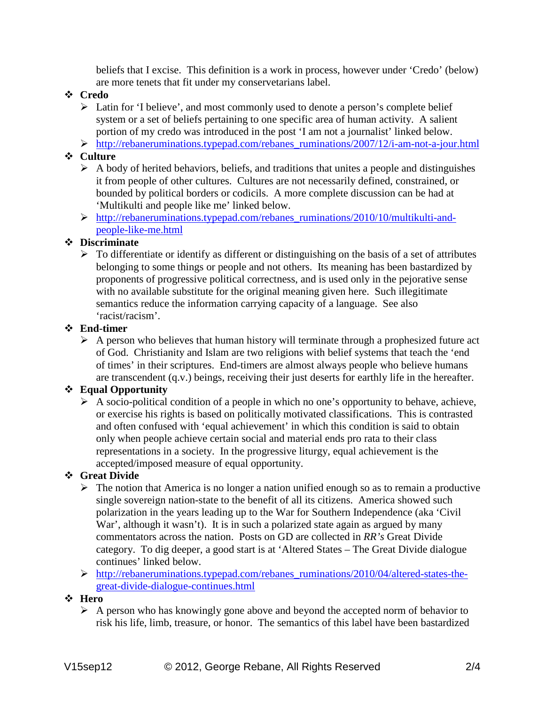beliefs that I excise. This definition is a work in process, however under 'Credo' (below) are more tenets that fit under my conservetarians label.

#### **Credo**

- $\triangleright$  Latin for 'I believe', and most commonly used to denote a person's complete belief system or a set of beliefs pertaining to one specific area of human activity. A salient portion of my credo was introduced in the post 'I am not a journalist' linked below.
- $\triangleright$  http://rebaneruminations.typepad.com/rebanes ruminations/2007/12/i-am-not-a-jour.html

#### **Culture**

- $\triangleright$  A body of herited behaviors, beliefs, and traditions that unites a people and distinguishes it from people of other cultures. Cultures are not necessarily defined, constrained, or bounded by political borders or codicils. A more complete discussion can be had at 'Multikulti and people like me' linked below.
- $\triangleright$  [http://rebaneruminations.typepad.com/rebanes\\_ruminations/2010/10/multikulti-and](http://rebaneruminations.typepad.com/rebanes_ruminations/2010/10/multikulti-and-people-like-me.html)[people-like-me.html](http://rebaneruminations.typepad.com/rebanes_ruminations/2010/10/multikulti-and-people-like-me.html)

#### **Discriminate**

 $\triangleright$  To differentiate or identify as different or distinguishing on the basis of a set of attributes belonging to some things or people and not others. Its meaning has been bastardized by proponents of progressive political correctness, and is used only in the pejorative sense with no available substitute for the original meaning given here. Such illegitimate semantics reduce the information carrying capacity of a language. See also 'racist/racism'.

#### **End-timer**

 $\triangleright$  A person who believes that human history will terminate through a prophesized future act of God. Christianity and Islam are two religions with belief systems that teach the 'end of times' in their scriptures. End-timers are almost always people who believe humans are transcendent (q.v.) beings, receiving their just deserts for earthly life in the hereafter.

# **Equal Opportunity**

 $\triangleright$  A socio-political condition of a people in which no one's opportunity to behave, achieve, or exercise his rights is based on politically motivated classifications. This is contrasted and often confused with 'equal achievement' in which this condition is said to obtain only when people achieve certain social and material ends pro rata to their class representations in a society. In the progressive liturgy, equal achievement is the accepted/imposed measure of equal opportunity.

# **Great Divide**

- $\triangleright$  The notion that America is no longer a nation unified enough so as to remain a productive single sovereign nation-state to the benefit of all its citizens. America showed such polarization in the years leading up to the War for Southern Independence (aka 'Civil War', although it wasn't). It is in such a polarized state again as argued by many commentators across the nation. Posts on GD are collected in *RR's* Great Divide category. To dig deeper, a good start is at 'Altered States – The Great Divide dialogue continues' linked below.
- [http://rebaneruminations.typepad.com/rebanes\\_ruminations/2010/04/altered-states-the](http://rebaneruminations.typepad.com/rebanes_ruminations/2010/04/altered-states-the-great-divide-dialogue-continues.html)[great-divide-dialogue-continues.html](http://rebaneruminations.typepad.com/rebanes_ruminations/2010/04/altered-states-the-great-divide-dialogue-continues.html)

#### **Hero**

 $\triangleright$  A person who has knowingly gone above and beyond the accepted norm of behavior to risk his life, limb, treasure, or honor. The semantics of this label have been bastardized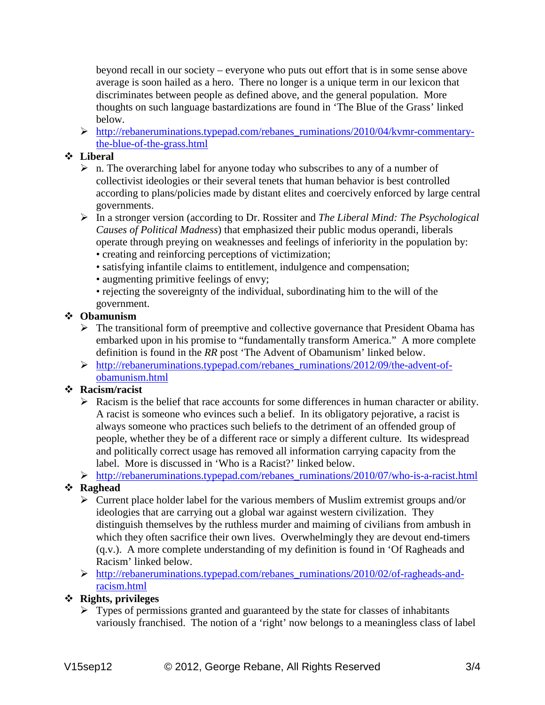beyond recall in our society – everyone who puts out effort that is in some sense above average is soon hailed as a hero. There no longer is a unique term in our lexicon that discriminates between people as defined above, and the general population. More thoughts on such language bastardizations are found in 'The Blue of the Grass' linked below.

 [http://rebaneruminations.typepad.com/rebanes\\_ruminations/2010/04/kvmr-commentary](http://rebaneruminations.typepad.com/rebanes_ruminations/2010/04/kvmr-commentary-the-blue-of-the-grass.html)[the-blue-of-the-grass.html](http://rebaneruminations.typepad.com/rebanes_ruminations/2010/04/kvmr-commentary-the-blue-of-the-grass.html)

### **Liberal**

- $\triangleright$  n. The overarching label for anyone today who subscribes to any of a number of collectivist ideologies or their several tenets that human behavior is best controlled according to plans/policies made by distant elites and coercively enforced by large central governments.
- In a stronger version (according to Dr. Rossiter and *The Liberal Mind: The Psychological Causes of Political Madness*) that emphasized their public modus operandi, liberals operate through preying on weaknesses and feelings of inferiority in the population by:
	- creating and reinforcing perceptions of victimization;
	- satisfying infantile claims to entitlement, indulgence and compensation;
	- augmenting primitive feelings of envy;
	- rejecting the sovereignty of the individual, subordinating him to the will of the government.

# **Obamunism**

- $\triangleright$  The transitional form of preemptive and collective governance that President Obama has embarked upon in his promise to "fundamentally transform America." A more complete definition is found in the *RR* post 'The Advent of Obamunism' linked below.
- $\triangleright$  [http://rebaneruminations.typepad.com/rebanes\\_ruminations/2012/09/the-advent-of](http://rebaneruminations.typepad.com/rebanes_ruminations/2012/09/the-advent-of-obamunism.html)[obamunism.html](http://rebaneruminations.typepad.com/rebanes_ruminations/2012/09/the-advent-of-obamunism.html)

# **Racism/racist**

- $\triangleright$  Racism is the belief that race accounts for some differences in human character or ability. A racist is someone who evinces such a belief. In its obligatory pejorative, a racist is always someone who practices such beliefs to the detriment of an offended group of people, whether they be of a different race or simply a different culture. Its widespread and politically correct usage has removed all information carrying capacity from the label. More is discussed in 'Who is a Racist?' linked below.
- [http://rebaneruminations.typepad.com/rebanes\\_ruminations/2010/07/who-is-a-racist.html](http://rebaneruminations.typepad.com/rebanes_ruminations/2010/07/who-is-a-racist.html)

# **Raghead**

- $\triangleright$  Current place holder label for the various members of Muslim extremist groups and/or ideologies that are carrying out a global war against western civilization. They distinguish themselves by the ruthless murder and maiming of civilians from ambush in which they often sacrifice their own lives. Overwhelmingly they are devout end-timers (q.v.). A more complete understanding of my definition is found in 'Of Ragheads and Racism' linked below.
- [http://rebaneruminations.typepad.com/rebanes\\_ruminations/2010/02/of-ragheads-and](http://rebaneruminations.typepad.com/rebanes_ruminations/2010/02/of-ragheads-and-racism.html)[racism.html](http://rebaneruminations.typepad.com/rebanes_ruminations/2010/02/of-ragheads-and-racism.html)

# **Rights, privileges**

 $\triangleright$  Types of permissions granted and guaranteed by the state for classes of inhabitants variously franchised. The notion of a 'right' now belongs to a meaningless class of label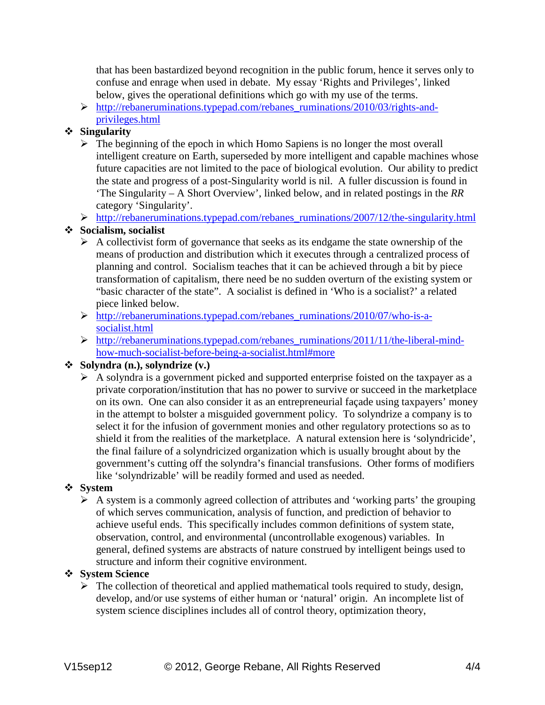that has been bastardized beyond recognition in the public forum, hence it serves only to confuse and enrage when used in debate. My essay 'Rights and Privileges', linked below, gives the operational definitions which go with my use of the terms.

 [http://rebaneruminations.typepad.com/rebanes\\_ruminations/2010/03/rights-and](http://rebaneruminations.typepad.com/rebanes_ruminations/2010/03/rights-and-privileges.html)[privileges.html](http://rebaneruminations.typepad.com/rebanes_ruminations/2010/03/rights-and-privileges.html)

### **Singularity**

- $\triangleright$  The beginning of the epoch in which Homo Sapiens is no longer the most overall intelligent creature on Earth, superseded by more intelligent and capable machines whose future capacities are not limited to the pace of biological evolution. Our ability to predict the state and progress of a post-Singularity world is nil. A fuller discussion is found in 'The Singularity – A Short Overview', linked below, and in related postings in the *RR* category 'Singularity'.
- $\triangleright$  http://rebaneruminations.typepad.com/rebanes\_ruminations/2007/12/the-singularity.html

### **Socialism, socialist**

- $\triangleright$  A collectivist form of governance that seeks as its endgame the state ownership of the means of production and distribution which it executes through a centralized process of planning and control. Socialism teaches that it can be achieved through a bit by piece transformation of capitalism, there need be no sudden overturn of the existing system or "basic character of the state". A socialist is defined in 'Who is a socialist?' a related piece linked below.
- [http://rebaneruminations.typepad.com/rebanes\\_ruminations/2010/07/who-is-a](http://rebaneruminations.typepad.com/rebanes_ruminations/2010/07/who-is-a-socialist.html)[socialist.html](http://rebaneruminations.typepad.com/rebanes_ruminations/2010/07/who-is-a-socialist.html)
- $\triangleright$  [http://rebaneruminations.typepad.com/rebanes\\_ruminations/2011/11/the-liberal-mind](http://rebaneruminations.typepad.com/rebanes_ruminations/2011/11/the-liberal-mind-how-much-socialist-before-being-a-socialist.html#more)[how-much-socialist-before-being-a-socialist.html#more](http://rebaneruminations.typepad.com/rebanes_ruminations/2011/11/the-liberal-mind-how-much-socialist-before-being-a-socialist.html#more)

### **Solyndra (n.), solyndrize (v.)**

 $\triangleright$  A solyndra is a government picked and supported enterprise foisted on the taxpayer as a private corporation/institution that has no power to survive or succeed in the marketplace on its own. One can also consider it as an entrepreneurial façade using taxpayers' money in the attempt to bolster a misguided government policy. To solyndrize a company is to select it for the infusion of government monies and other regulatory protections so as to shield it from the realities of the marketplace. A natural extension here is 'solyndricide', the final failure of a solyndricized organization which is usually brought about by the government's cutting off the solyndra's financial transfusions. Other forms of modifiers like 'solyndrizable' will be readily formed and used as needed.

#### **System**

 $\triangleright$  A system is a commonly agreed collection of attributes and 'working parts' the grouping of which serves communication, analysis of function, and prediction of behavior to achieve useful ends. This specifically includes common definitions of system state, observation, control, and environmental (uncontrollable exogenous) variables. In general, defined systems are abstracts of nature construed by intelligent beings used to structure and inform their cognitive environment.

### **System Science**

 $\triangleright$  The collection of theoretical and applied mathematical tools required to study, design, develop, and/or use systems of either human or 'natural' origin. An incomplete list of system science disciplines includes all of control theory, optimization theory,